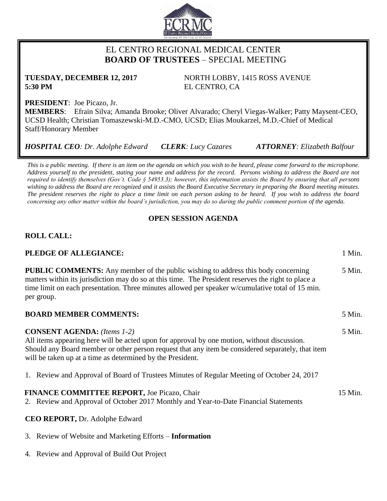

## EL CENTRO REGIONAL MEDICAL CENTER  **BOARD OF TRUSTEES** – SPECIAL MEETING

**5:30 PM** EL CENTRO, CA

**TUESDAY, DECEMBER 12, 2017** NORTH LOBBY, 1415 ROSS AVENUE

**PRESIDENT**: Joe Picazo, Jr.

**MEMBERS**: Efrain Silva; Amanda Brooke; Oliver Alvarado; Cheryl Viegas-Walker; Patty Maysent-CEO, UCSD Health; Christian Tomaszewski-M.D.-CMO, UCSD; Elias Moukarzel, M.D.-Chief of Medical Staff/Honorary Member

*HOSPITAL CEO: Dr. Adolphe Edward CLERK: Lucy Cazares ATTORNEY: Elizabeth Balfour*

*This is a public meeting. If there is an item on the agenda on which you wish to be heard, please come forward to the microphone. Address yourself to the president, stating your name and address for the record. Persons wishing to address the Board are not required to identify themselves (Gov't. Code § 54953.3); however, this information assists the Board by ensuring that all persons wishing to address the Board are recognized and it assists the Board Executive Secretary in preparing the Board meeting minutes. The president reserves the right to place a time limit on each person asking to be heard. If you wish to address the board concerning any other matter within the board's jurisdiction, you may do so during the public comment portion of the agenda.*

## **OPEN SESSION AGENDA**

# **ROLL CALL:**

### **PLEDGE OF ALLEGIANCE:** 1 Min.

**PUBLIC COMMENTS:** Any member of the public wishing to address this body concerning matters within its jurisdiction may do so at this time. The President reserves the right to place a time limit on each presentation. Three minutes allowed per speaker w/cumulative total of 15 min. per group. 5 Min. **BOARD MEMBER COMMENTS:** 5 Min.

**CONSENT AGENDA:** *(Items 1-2)* All items appearing here will be acted upon for approval by one motion, without discussion. Should any Board member or other person request that any item be considered separately, that item will be taken up at a time as determined by the President. 5 Min.

1. Review and Approval of Board of Trustees Minutes of Regular Meeting of October 24, 2017

# **FINANCE COMMITTEE REPORT, Joe Picazo, Chair 15 Min.** 15 Min.

2. Review and Approval of October 2017 Monthly and Year-to-Date Financial Statements

### **CEO REPORT,** Dr. Adolphe Edward

- 3. Review of Website and Marketing Efforts **Information**
- 4. Review and Approval of Build Out Project